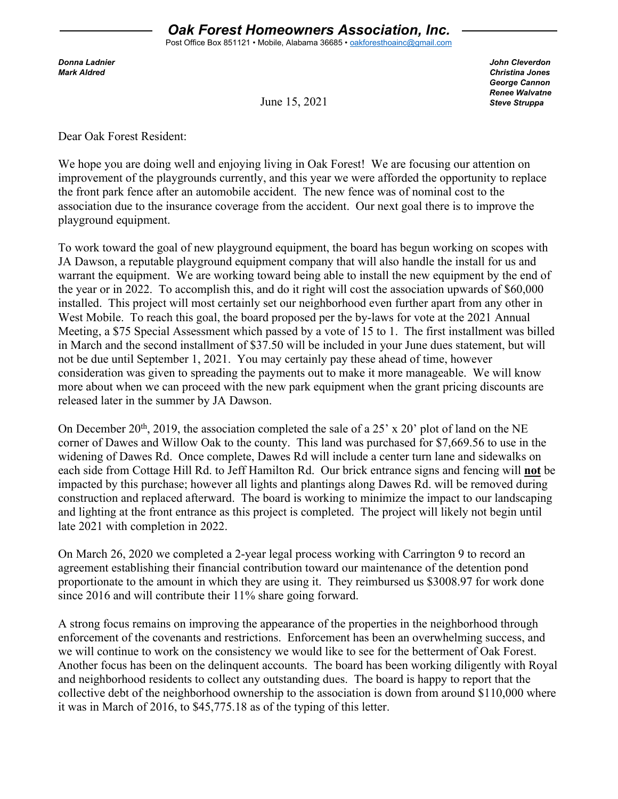*Donna Ladnier John Cleverdon Mark Aldred Christina Jones George Cannon Renee Walvatne Steve Struppa*

June 15, 2021

Dear Oak Forest Resident:

We hope you are doing well and enjoying living in Oak Forest! We are focusing our attention on improvement of the playgrounds currently, and this year we were afforded the opportunity to replace the front park fence after an automobile accident. The new fence was of nominal cost to the association due to the insurance coverage from the accident. Our next goal there is to improve the playground equipment.

To work toward the goal of new playground equipment, the board has begun working on scopes with JA Dawson, a reputable playground equipment company that will also handle the install for us and warrant the equipment. We are working toward being able to install the new equipment by the end of the year or in 2022. To accomplish this, and do it right will cost the association upwards of \$60,000 installed. This project will most certainly set our neighborhood even further apart from any other in West Mobile. To reach this goal, the board proposed per the by-laws for vote at the 2021 Annual Meeting, a \$75 Special Assessment which passed by a vote of 15 to 1. The first installment was billed in March and the second installment of \$37.50 will be included in your June dues statement, but will not be due until September 1, 2021. You may certainly pay these ahead of time, however consideration was given to spreading the payments out to make it more manageable. We will know more about when we can proceed with the new park equipment when the grant pricing discounts are released later in the summer by JA Dawson.

On December 20<sup>th</sup>, 2019, the association completed the sale of a 25' x 20' plot of land on the NE corner of Dawes and Willow Oak to the county. This land was purchased for \$7,669.56 to use in the widening of Dawes Rd. Once complete, Dawes Rd will include a center turn lane and sidewalks on each side from Cottage Hill Rd. to Jeff Hamilton Rd. Our brick entrance signs and fencing will **not** be impacted by this purchase; however all lights and plantings along Dawes Rd. will be removed during construction and replaced afterward. The board is working to minimize the impact to our landscaping and lighting at the front entrance as this project is completed. The project will likely not begin until late 2021 with completion in 2022.

On March 26, 2020 we completed a 2-year legal process working with Carrington 9 to record an agreement establishing their financial contribution toward our maintenance of the detention pond proportionate to the amount in which they are using it. They reimbursed us \$3008.97 for work done since 2016 and will contribute their 11% share going forward.

A strong focus remains on improving the appearance of the properties in the neighborhood through enforcement of the covenants and restrictions. Enforcement has been an overwhelming success, and we will continue to work on the consistency we would like to see for the betterment of Oak Forest. Another focus has been on the delinquent accounts. The board has been working diligently with Royal and neighborhood residents to collect any outstanding dues. The board is happy to report that the collective debt of the neighborhood ownership to the association is down from around \$110,000 where it was in March of 2016, to \$45,775.18 as of the typing of this letter.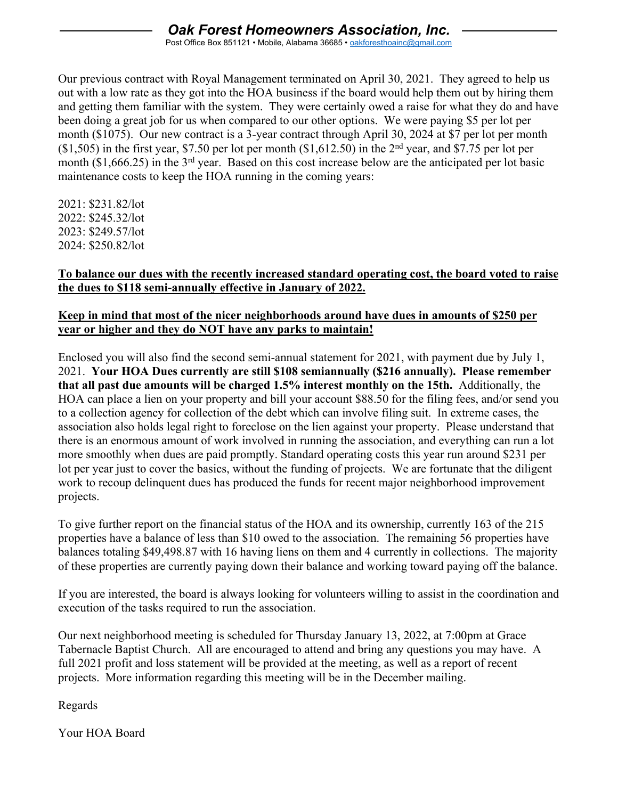## *Oak Forest Homeowners Association, Inc.*

Post Office Box 851121 • Mobile, Alabama 36685 • [oakforesthoainc@gmail.com](mailto:oakforesthoainc@gmail.com)

Our previous contract with Royal Management terminated on April 30, 2021. They agreed to help us out with a low rate as they got into the HOA business if the board would help them out by hiring them and getting them familiar with the system. They were certainly owed a raise for what they do and have been doing a great job for us when compared to our other options. We were paying \$5 per lot per month (\$1075). Our new contract is a 3-year contract through April 30, 2024 at \$7 per lot per month  $($1,505)$  in the first year, \$7.50 per lot per month  $($1,612.50)$  in the 2<sup>nd</sup> year, and \$7.75 per lot per month (\$1,666.25) in the 3<sup>rd</sup> year. Based on this cost increase below are the anticipated per lot basic maintenance costs to keep the HOA running in the coming years:

2021: \$231.82/lot 2022: \$245.32/lot 2023: \$249.57/lot 2024: \$250.82/lot

## **To balance our dues with the recently increased standard operating cost, the board voted to raise the dues to \$118 semi-annually effective in January of 2022.**

## **Keep in mind that most of the nicer neighborhoods around have dues in amounts of \$250 per year or higher and they do NOT have any parks to maintain!**

Enclosed you will also find the second semi-annual statement for 2021, with payment due by July 1, 2021. **Your HOA Dues currently are still \$108 semiannually (\$216 annually). Please remember that all past due amounts will be charged 1.5% interest monthly on the 15th.** Additionally, the HOA can place a lien on your property and bill your account \$88.50 for the filing fees, and/or send you to a collection agency for collection of the debt which can involve filing suit. In extreme cases, the association also holds legal right to foreclose on the lien against your property. Please understand that there is an enormous amount of work involved in running the association, and everything can run a lot more smoothly when dues are paid promptly. Standard operating costs this year run around \$231 per lot per year just to cover the basics, without the funding of projects. We are fortunate that the diligent work to recoup delinquent dues has produced the funds for recent major neighborhood improvement projects.

To give further report on the financial status of the HOA and its ownership, currently 163 of the 215 properties have a balance of less than \$10 owed to the association. The remaining 56 properties have balances totaling \$49,498.87 with 16 having liens on them and 4 currently in collections. The majority of these properties are currently paying down their balance and working toward paying off the balance.

If you are interested, the board is always looking for volunteers willing to assist in the coordination and execution of the tasks required to run the association.

Our next neighborhood meeting is scheduled for Thursday January 13, 2022, at 7:00pm at Grace Tabernacle Baptist Church. All are encouraged to attend and bring any questions you may have. A full 2021 profit and loss statement will be provided at the meeting, as well as a report of recent projects. More information regarding this meeting will be in the December mailing.

Regards

Your HOA Board